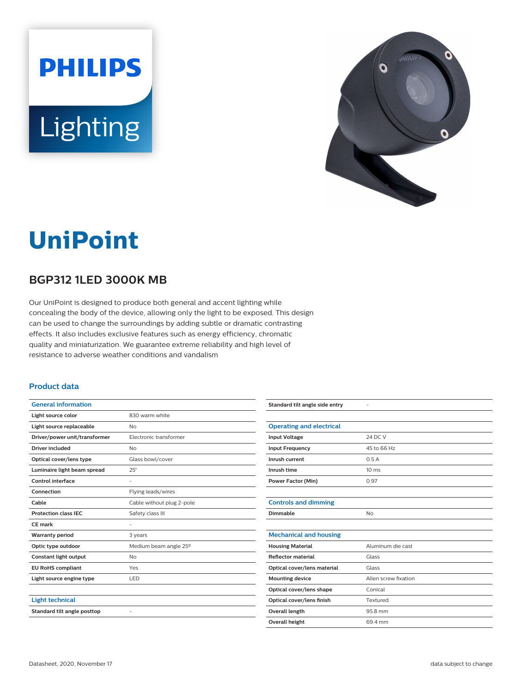



# **UniPoint**

## **BGP312 1LED 3000K MB**

Our UniPoint is designed to produce both general and accent lighting while concealing the body of the device, allowing only the light to be exposed. This design can be used to change the surroundings by adding subtle or dramatic contrasting effects. It also includes exclusive features such as energy efficiency, chromatic quality and miniaturization. We guarantee extreme reliability and high level of resistance to adverse weather conditions and vandalism

#### **Product data**

| <b>General information</b>    |                           |
|-------------------------------|---------------------------|
| Light source color            | 830 warm white            |
| Light source replaceable      | No                        |
| Driver/power unit/transformer | Electronic transformer    |
| Driver included               | <b>No</b>                 |
| Optical cover/lens type       | Glass bowl/cover          |
| Luminaire light beam spread   | $25^\circ$                |
| Control interface             | -                         |
| Connection                    | Flying leads/wires        |
| Cable                         | Cable without plug 2-pole |
| <b>Protection class IEC</b>   | Safety class III          |
| CE mark                       |                           |
|                               |                           |
| <b>Warranty period</b>        | 3 years                   |
| Optic type outdoor            | Medium beam angle 25°     |
| <b>Constant light output</b>  | No                        |
| <b>EU RoHS compliant</b>      | Yes                       |
| Light source engine type      | LED                       |
|                               |                           |
| <b>Light technical</b>        |                           |
| Standard tilt angle posttop   |                           |

| Standard tilt angle side entry  |                      |
|---------------------------------|----------------------|
|                                 |                      |
| <b>Operating and electrical</b> |                      |
| <b>Input Voltage</b>            | 24 DC V              |
| <b>Input Frequency</b>          | 45 to 66 Hz          |
| Inrush current                  | 0.5A                 |
| Inrush time                     | 10 <sub>ms</sub>     |
| <b>Power Factor (Min)</b>       | 0.97                 |
|                                 |                      |
| <b>Controls and dimming</b>     |                      |
| Dimmable                        | <b>No</b>            |
|                                 |                      |
| <b>Mechanical and housing</b>   |                      |
| <b>Housing Material</b>         | Aluminum die cast    |
| <b>Reflector material</b>       | Glass                |
| Optical cover/lens material     | Glass                |
| <b>Mounting device</b>          | Allen screw fixation |
| Optical cover/lens shape        | Conical              |
| Optical cover/lens finish       | Textured             |
| Overall length                  | 95.8 mm              |
| <b>Overall height</b>           | 69.4 mm              |
|                                 |                      |